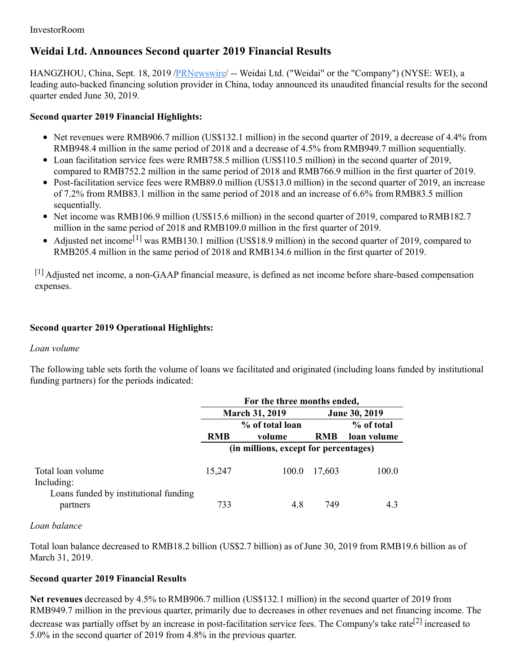# **Weidai Ltd. Announces Second quarter 2019 Financial Results**

HANGZHOU, China, Sept. 18, 2019 [/PRNewswire](http://www.prnewswire.com/)/ -- Weidai Ltd. ("Weidai" or the "Company") (NYSE: WEI), a leading auto-backed financing solution provider in China, today announced its unaudited financial results for the second quarter ended June 30, 2019.

# **Second quarter 2019 Financial Highlights:**

- Net revenues were RMB906.7 million (US\$132.1 million) in the second quarter of 2019, a decrease of 4.4% from RMB948.4 million in the same period of 2018 and a decrease of 4.5% from RMB949.7 million sequentially.
- Loan facilitation service fees were RMB758.5 million (US\$110.5 million) in the second quarter of 2019, compared to RMB752.2 million in the same period of 2018 and RMB766.9 million in the first quarter of 2019.
- Post-facilitation service fees were RMB89.0 million (US\$13.0 million) in the second quarter of 2019, an increase of 7.2% from RMB83.1 million in the same period of 2018 and an increase of 6.6% from RMB83.5 million sequentially.
- Net income was RMB106.9 million (US\$15.6 million) in the second quarter of 2019, compared to RMB182.7 million in the same period of 2018 and RMB109.0 million in the first quarter of 2019.
- Adjusted net income<sup>[1]</sup> was RMB130.1 million (US\$18.9 million) in the second quarter of 2019, compared to RMB205.4 million in the same period of 2018 and RMB134.6 million in the first quarter of 2019.

[1] Adjusted net income, a non-GAAP financial measure, is defined as net income before share-based compensation expenses.

# **Second quarter 2019 Operational Highlights:**

# *Loan volume*

The following table sets forth the volume of loans we facilitated and originated (including loans funded by institutional funding partners) for the periods indicated:

|                                                   | For the three months ended, |                                       |            |               |  |
|---------------------------------------------------|-----------------------------|---------------------------------------|------------|---------------|--|
|                                                   | March 31, 2019              |                                       |            | June 30, 2019 |  |
|                                                   | % of total loan             |                                       | % of total |               |  |
|                                                   | <b>RMB</b>                  | volume                                | <b>RMB</b> | loan volume   |  |
|                                                   |                             | (in millions, except for percentages) |            |               |  |
| Total loan volume<br>Including:                   | 15,247                      | 100.0                                 | 17,603     | 100.0         |  |
| Loans funded by institutional funding<br>partners | 733                         | 4.8                                   | 749        | 4.3           |  |

# *Loan balance*

Total loan balance decreased to RMB18.2 billion (US\$2.7 billion) as of June 30, 2019 from RMB19.6 billion as of March 31, 2019.

# **Second quarter 2019 Financial Results**

**Net revenues** decreased by 4.5% to RMB906.7 million (US\$132.1 million) in the second quarter of 2019 from RMB949.7 million in the previous quarter, primarily due to decreases in other revenues and net financing income. The decrease was partially offset by an increase in post-facilitation service fees. The Company's take rate<sup>[2]</sup> increased to 5.0% in the second quarter of 2019 from 4.8% in the previous quarter.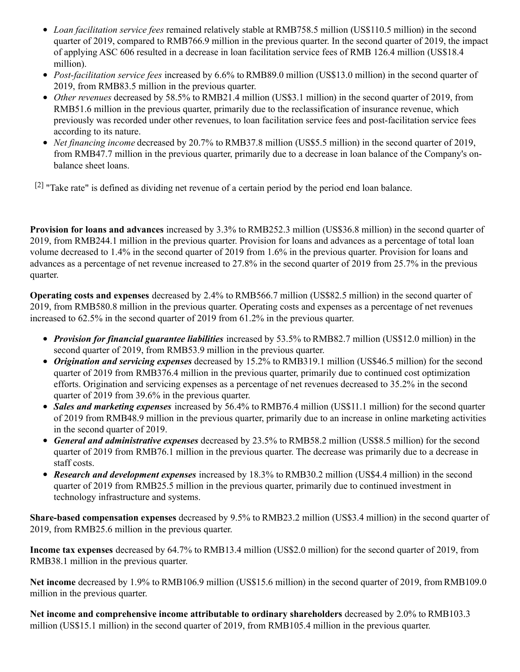- *Loan facilitation service fees* remained relatively stable at RMB758.5 million (US\$110.5 million) in the second quarter of 2019, compared to RMB766.9 million in the previous quarter. In the second quarter of 2019, the impact of applying ASC 606 resulted in a decrease in loan facilitation service fees of RMB 126.4 million (US\$18.4 million).
- *Post-facilitation service fees* increased by 6.6% to RMB89.0 million (US\$13.0 million) in the second quarter of 2019, from RMB83.5 million in the previous quarter.
- *Other revenues* decreased by 58.5% to RMB21.4 million (US\$3.1 million) in the second quarter of 2019, from RMB51.6 million in the previous quarter, primarily due to the reclassification of insurance revenue, which previously was recorded under other revenues, to loan facilitation service fees and post-facilitation service fees according to its nature.
- *Net financing income* decreased by 20.7% to RMB37.8 million (US\$5.5 million) in the second quarter of 2019, from RMB47.7 million in the previous quarter, primarily due to a decrease in loan balance of the Company's onbalance sheet loans.

 $[2]$  "Take rate" is defined as dividing net revenue of a certain period by the period end loan balance.

**Provision for loans and advances** increased by 3.3% to RMB252.3 million (US\$36.8 million) in the second quarter of 2019, from RMB244.1 million in the previous quarter. Provision for loans and advances as a percentage of total loan volume decreased to 1.4% in the second quarter of 2019 from 1.6% in the previous quarter. Provision for loans and advances as a percentage of net revenue increased to 27.8% in the second quarter of 2019 from 25.7% in the previous quarter.

**Operating costs and expenses** decreased by 2.4% to RMB566.7 million (US\$82.5 million) in the second quarter of 2019, from RMB580.8 million in the previous quarter. Operating costs and expenses as a percentage of net revenues increased to 62.5% in the second quarter of 2019 from 61.2% in the previous quarter.

- *Provision for financial guarantee liabilities* increased by 53.5% to RMB82.7 million (US\$12.0 million) in the second quarter of 2019, from RMB53.9 million in the previous quarter.
- *Origination and servicing expenses* decreased by 15.2% to RMB319.1 million (US\$46.5 million) for the second quarter of 2019 from RMB376.4 million in the previous quarter, primarily due to continued cost optimization efforts. Origination and servicing expenses as a percentage of net revenues decreased to 35.2% in the second quarter of 2019 from 39.6% in the previous quarter.
- *Sales and marketing expenses* increased by 56.4% to RMB76.4 million (US\$11.1 million) for the second quarter of 2019 from RMB48.9 million in the previous quarter, primarily due to an increase in online marketing activities in the second quarter of 2019.
- *General and administrative expenses* decreased by 23.5% to RMB58.2 million (US\$8.5 million) for the second quarter of 2019 from RMB76.1 million in the previous quarter. The decrease was primarily due to a decrease in staff costs.
- *Research and development expenses* increased by 18.3% to RMB30.2 million (US\$4.4 million) in the second quarter of 2019 from RMB25.5 million in the previous quarter, primarily due to continued investment in technology infrastructure and systems.

**Share-based compensation expenses** decreased by 9.5% to RMB23.2 million (US\$3.4 million) in the second quarter of 2019, from RMB25.6 million in the previous quarter.

**Income tax expenses** decreased by 64.7% to RMB13.4 million (US\$2.0 million) for the second quarter of 2019, from RMB38.1 million in the previous quarter.

**Net income** decreased by 1.9% to RMB106.9 million (US\$15.6 million) in the second quarter of 2019, from RMB109.0 million in the previous quarter.

**Net income and comprehensive income attributable to ordinary shareholders** decreased by 2.0% to RMB103.3 million (US\$15.1 million) in the second quarter of 2019, from RMB105.4 million in the previous quarter.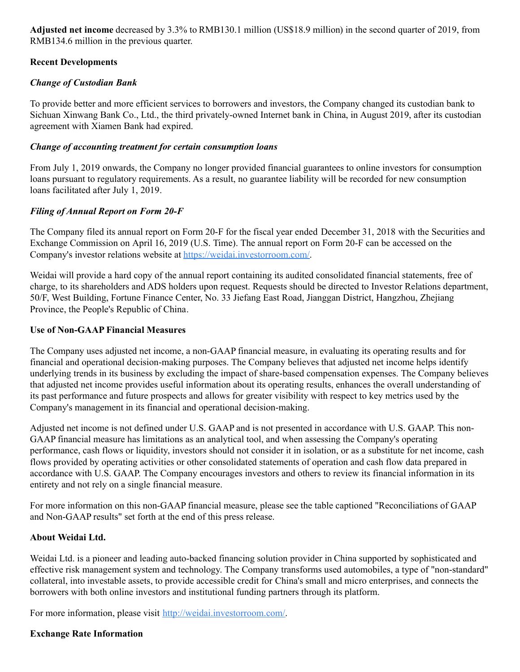**Adjusted net income** decreased by 3.3% to RMB130.1 million (US\$18.9 million) in the second quarter of 2019, from RMB134.6 million in the previous quarter.

### **Recent Developments**

### *Change of Custodian Bank*

To provide better and more efficient services to borrowers and investors, the Company changed its custodian bank to Sichuan Xinwang Bank Co., Ltd., the third privately-owned Internet bank in China, in August 2019, after its custodian agreement with Xiamen Bank had expired.

### *Change of accounting treatment for certain consumption loans*

From July 1, 2019 onwards, the Company no longer provided financial guarantees to online investors for consumption loans pursuant to regulatory requirements. As a result, no guarantee liability will be recorded for new consumption loans facilitated after July 1, 2019.

### *Filing of Annual Report on Form 20-F*

The Company filed its annual report on Form 20-F for the fiscal year ended December 31, 2018 with the Securities and Exchange Commission on April 16, 2019 (U.S. Time). The annual report on Form 20-F can be accessed on the Company's investor relations website at <https://weidai.investorroom.com/>.

Weidai will provide a hard copy of the annual report containing its audited consolidated financial statements, free of charge, to its shareholders and ADS holders upon request. Requests should be directed to Investor Relations department, 50/F, West Building, Fortune Finance Center, No. 33 Jiefang East Road, Jianggan District, Hangzhou, Zhejiang Province, the People's Republic of China.

#### **Use of Non-GAAP Financial Measures**

The Company uses adjusted net income, a non-GAAP financial measure, in evaluating its operating results and for financial and operational decision-making purposes. The Company believes that adjusted net income helps identify underlying trends in its business by excluding the impact of share-based compensation expenses. The Company believes that adjusted net income provides useful information about its operating results, enhances the overall understanding of its past performance and future prospects and allows for greater visibility with respect to key metrics used by the Company's management in its financial and operational decision-making.

Adjusted net income is not defined under U.S. GAAP and is not presented in accordance with U.S. GAAP. This non-GAAP financial measure has limitations as an analytical tool, and when assessing the Company's operating performance, cash flows or liquidity, investors should not consider it in isolation, or as a substitute for net income, cash flows provided by operating activities or other consolidated statements of operation and cash flow data prepared in accordance with U.S. GAAP. The Company encourages investors and others to review its financial information in its entirety and not rely on a single financial measure.

For more information on this non-GAAP financial measure, please see the table captioned "Reconciliations of GAAP and Non-GAAP results" set forth at the end of this press release.

#### **About Weidai Ltd.**

Weidai Ltd. is a pioneer and leading auto-backed financing solution provider in China supported by sophisticated and effective risk management system and technology. The Company transforms used automobiles, a type of "non-standard" collateral, into investable assets, to provide accessible credit for China's small and micro enterprises, and connects the borrowers with both online investors and institutional funding partners through its platform.

For more information, please visit [http://weidai.investorroom.com/.](http://weidai.investorroom.com/)

#### **Exchange Rate Information**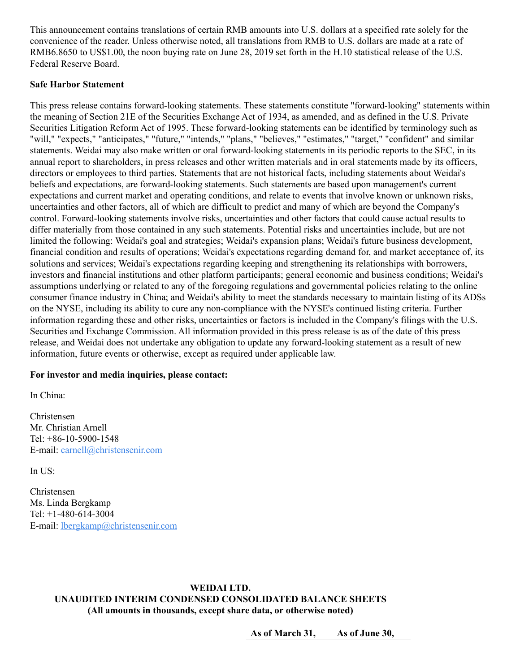This announcement contains translations of certain RMB amounts into U.S. dollars at a specified rate solely for the convenience of the reader. Unless otherwise noted, all translations from RMB to U.S. dollars are made at a rate of RMB6.8650 to US\$1.00, the noon buying rate on June 28, 2019 set forth in the H.10 statistical release of the U.S. Federal Reserve Board.

### **Safe Harbor Statement**

This press release contains forward-looking statements. These statements constitute "forward-looking" statements within the meaning of Section 21E of the Securities Exchange Act of 1934, as amended, and as defined in the U.S. Private Securities Litigation Reform Act of 1995. These forward-looking statements can be identified by terminology such as "will," "expects," "anticipates," "future," "intends," "plans," "believes," "estimates," "target," "confident" and similar statements. Weidai may also make written or oral forward-looking statements in its periodic reports to the SEC, in its annual report to shareholders, in press releases and other written materials and in oral statements made by its officers, directors or employees to third parties. Statements that are not historical facts, including statements about Weidai's beliefs and expectations, are forward-looking statements. Such statements are based upon management's current expectations and current market and operating conditions, and relate to events that involve known or unknown risks, uncertainties and other factors, all of which are difficult to predict and many of which are beyond the Company's control. Forward-looking statements involve risks, uncertainties and other factors that could cause actual results to differ materially from those contained in any such statements. Potential risks and uncertainties include, but are not limited the following: Weidai's goal and strategies; Weidai's expansion plans; Weidai's future business development, financial condition and results of operations; Weidai's expectations regarding demand for, and market acceptance of, its solutions and services; Weidai's expectations regarding keeping and strengthening its relationships with borrowers, investors and financial institutions and other platform participants; general economic and business conditions; Weidai's assumptions underlying or related to any of the foregoing regulations and governmental policies relating to the online consumer finance industry in China; and Weidai's ability to meet the standards necessary to maintain listing of its ADSs on the NYSE, including its ability to cure any non-compliance with the NYSE's continued listing criteria. Further information regarding these and other risks, uncertainties or factors is included in the Company's filings with the U.S. Securities and Exchange Commission. All information provided in this press release is as of the date of this press release, and Weidai does not undertake any obligation to update any forward-looking statement as a result of new information, future events or otherwise, except as required under applicable law.

## **For investor and media inquiries, please contact:**

In China:

Christensen Mr. Christian Arnell Tel: +86-10-5900-1548 E-mail: [carnell@christensenir.com](mailto:carnell@christensenir.com)

In US:

Christensen Ms. Linda Bergkamp Tel: +1-480-614-3004 E-mail: [lbergkamp@christensenir.com](mailto:lbergkamp@christensenir.com)

# **WEIDAI LTD. UNAUDITED INTERIM CONDENSED CONSOLIDATED BALANCE SHEETS (All amounts in thousands, except share data, or otherwise noted)**

**As of March 31, As of June 30,**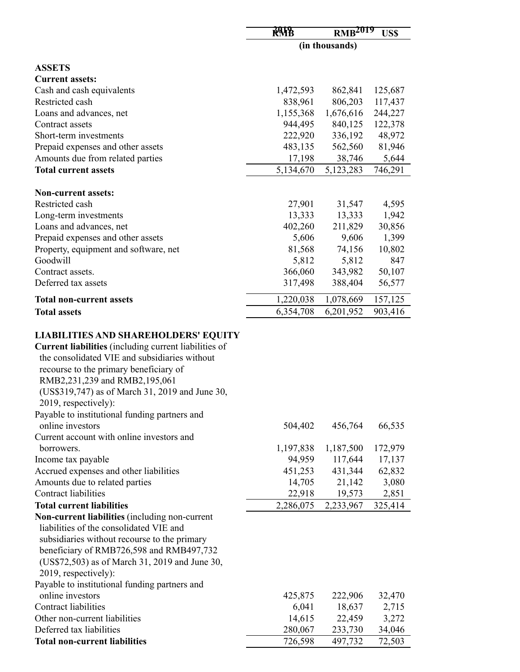|                                                                                                                                                                                                                                                                                                                                                    | <b>RWB</b><br><b>RMB</b> <sup>2019</sup>  |                                            | US\$                                  |
|----------------------------------------------------------------------------------------------------------------------------------------------------------------------------------------------------------------------------------------------------------------------------------------------------------------------------------------------------|-------------------------------------------|--------------------------------------------|---------------------------------------|
|                                                                                                                                                                                                                                                                                                                                                    | (in thousands)                            |                                            |                                       |
| <b>ASSETS</b>                                                                                                                                                                                                                                                                                                                                      |                                           |                                            |                                       |
| <b>Current assets:</b>                                                                                                                                                                                                                                                                                                                             |                                           |                                            |                                       |
| Cash and cash equivalents                                                                                                                                                                                                                                                                                                                          | 1,472,593                                 | 862,841                                    | 125,687                               |
| Restricted cash                                                                                                                                                                                                                                                                                                                                    | 838,961                                   | 806,203                                    | 117,437                               |
| Loans and advances, net                                                                                                                                                                                                                                                                                                                            | 1,155,368                                 | 1,676,616                                  | 244,227                               |
| Contract assets                                                                                                                                                                                                                                                                                                                                    | 944,495                                   | 840,125                                    | 122,378                               |
| Short-term investments                                                                                                                                                                                                                                                                                                                             | 222,920                                   | 336,192                                    | 48,972                                |
| Prepaid expenses and other assets                                                                                                                                                                                                                                                                                                                  | 483,135                                   | 562,560                                    | 81,946                                |
| Amounts due from related parties                                                                                                                                                                                                                                                                                                                   | 17,198                                    | 38,746                                     | 5,644                                 |
| <b>Total current assets</b>                                                                                                                                                                                                                                                                                                                        | 5,134,670                                 | 5,123,283                                  | 746,291                               |
|                                                                                                                                                                                                                                                                                                                                                    |                                           |                                            |                                       |
| <b>Non-current assets:</b>                                                                                                                                                                                                                                                                                                                         |                                           |                                            |                                       |
| Restricted cash                                                                                                                                                                                                                                                                                                                                    | 27,901                                    | 31,547                                     | 4,595                                 |
| Long-term investments                                                                                                                                                                                                                                                                                                                              | 13,333                                    | 13,333                                     | 1,942                                 |
| Loans and advances, net                                                                                                                                                                                                                                                                                                                            | 402,260                                   | 211,829                                    | 30,856                                |
| Prepaid expenses and other assets                                                                                                                                                                                                                                                                                                                  | 5,606                                     | 9,606                                      | 1,399                                 |
| Property, equipment and software, net                                                                                                                                                                                                                                                                                                              | 81,568                                    | 74,156                                     | 10,802                                |
| Goodwill                                                                                                                                                                                                                                                                                                                                           | 5,812                                     | 5,812                                      | 847                                   |
| Contract assets.                                                                                                                                                                                                                                                                                                                                   | 366,060                                   | 343,982                                    | 50,107                                |
| Deferred tax assets                                                                                                                                                                                                                                                                                                                                | 317,498                                   | 388,404                                    | 56,577                                |
| <b>Total non-current assets</b>                                                                                                                                                                                                                                                                                                                    | 1,220,038                                 | 1,078,669                                  | 157,125                               |
| <b>Total assets</b>                                                                                                                                                                                                                                                                                                                                | 6,354,708                                 | 6,201,952                                  | 903,416                               |
| recourse to the primary beneficiary of<br>RMB2,231,239 and RMB2,195,061<br>(US\$319,747) as of March 31, 2019 and June 30,<br>2019, respectively):<br>Payable to institutional funding partners and<br>online investors<br>Current account with online investors and<br>borrowers.<br>Income tax payable<br>Accrued expenses and other liabilities | 504,402<br>1,197,838<br>94,959<br>451,253 | 456,764<br>1,187,500<br>117,644<br>431,344 | 66,535<br>172,979<br>17,137<br>62,832 |
| Amounts due to related parties                                                                                                                                                                                                                                                                                                                     | 14,705                                    | 21,142                                     | 3,080                                 |
| Contract liabilities                                                                                                                                                                                                                                                                                                                               | 22,918                                    | 19,573                                     | 2,851                                 |
| <b>Total current liabilities</b>                                                                                                                                                                                                                                                                                                                   | 2,286,075                                 | 2,233,967                                  | 325,414                               |
| Non-current liabilities (including non-current<br>liabilities of the consolidated VIE and<br>subsidiaries without recourse to the primary<br>beneficiary of RMB726,598 and RMB497,732<br>(US\$72,503) as of March 31, 2019 and June 30,<br>2019, respectively):                                                                                    |                                           |                                            |                                       |
| Payable to institutional funding partners and                                                                                                                                                                                                                                                                                                      |                                           |                                            |                                       |
| online investors                                                                                                                                                                                                                                                                                                                                   | 425,875                                   | 222,906                                    | 32,470                                |
| Contract liabilities                                                                                                                                                                                                                                                                                                                               | 6,041                                     | 18,637                                     | 2,715                                 |
| Other non-current liabilities                                                                                                                                                                                                                                                                                                                      | 14,615                                    | 22,459                                     | 3,272                                 |
| Deferred tax liabilities                                                                                                                                                                                                                                                                                                                           | 280,067                                   | 233,730                                    | 34,046                                |
| <b>Total non-current liabilities</b>                                                                                                                                                                                                                                                                                                               | 726,598                                   | 497,732                                    | 72,503                                |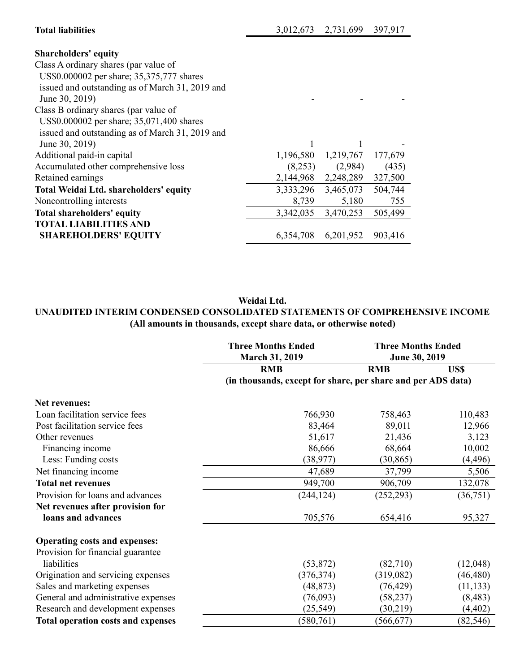| <b>Total liabilities</b>                                                                                          |           | 3,012,673 2,731,699            | 397,917          |
|-------------------------------------------------------------------------------------------------------------------|-----------|--------------------------------|------------------|
| <b>Shareholders' equity</b><br>Class A ordinary shares (par value of<br>US\$0.000002 per share; 35,375,777 shares |           |                                |                  |
| issued and outstanding as of March 31, 2019 and<br>June 30, 2019)                                                 |           |                                |                  |
| Class B ordinary shares (par value of<br>US\$0.000002 per share; 35,071,400 shares                                |           |                                |                  |
| issued and outstanding as of March 31, 2019 and<br>June 30, 2019)                                                 |           | 1                              |                  |
| Additional paid-in capital<br>Accumulated other comprehensive loss                                                | (8,253)   | 1,196,580 1,219,767<br>(2,984) | 177,679<br>(435) |
| Retained earnings                                                                                                 |           | 2,144,968 2,248,289            | 327,500          |
| Total Weidai Ltd. shareholders' equity                                                                            | 3,333,296 | 3,465,073                      | 504,744          |
| Noncontrolling interests                                                                                          | 8,739     | 5,180                          | 755              |
| Total shareholders' equity                                                                                        | 3,342,035 | 3,470,253                      | 505,499          |
| <b>TOTAL LIABILITIES AND</b><br><b>SHAREHOLDERS' EQUITY</b>                                                       | 6,354,708 | 6,201,952                      | 903,416          |

## **Weidai Ltd. UNAUDITED INTERIM CONDENSED CONSOLIDATED STATEMENTS OF COMPREHENSIVE INCOME (All amounts in thousands, except share data, or otherwise noted)**

|                                           | <b>Three Months Ended</b>                                    | <b>Three Months Ended</b> |           |
|-------------------------------------------|--------------------------------------------------------------|---------------------------|-----------|
|                                           | March 31, 2019                                               | June 30, 2019             |           |
|                                           | <b>RMB</b>                                                   | <b>RMB</b>                | US\$      |
|                                           | (in thousands, except for share, per share and per ADS data) |                           |           |
| Net revenues:                             |                                                              |                           |           |
| Loan facilitation service fees            | 766,930                                                      | 758,463                   | 110,483   |
| Post facilitation service fees            | 83,464                                                       | 89,011                    | 12,966    |
| Other revenues                            | 51,617                                                       | 21,436                    | 3,123     |
| Financing income                          | 86,666                                                       | 68,664                    | 10,002    |
| Less: Funding costs                       | (38, 977)                                                    | (30, 865)                 | (4, 496)  |
| Net financing income                      | 47,689                                                       | 37,799                    | 5,506     |
| <b>Total net revenues</b>                 | 949,700                                                      | 906,709                   | 132,078   |
| Provision for loans and advances          | (244, 124)                                                   | (252, 293)                | (36,751)  |
| Net revenues after provision for          |                                                              |                           |           |
| loans and advances                        | 705,576                                                      | 654,416                   | 95,327    |
| <b>Operating costs and expenses:</b>      |                                                              |                           |           |
| Provision for financial guarantee         |                                                              |                           |           |
| liabilities                               | (53, 872)                                                    | (82,710)                  | (12,048)  |
| Origination and servicing expenses        | (376, 374)                                                   | (319,082)                 | (46, 480) |
| Sales and marketing expenses              | (48, 873)                                                    | (76, 429)                 | (11, 133) |
| General and administrative expenses       | (76,093)                                                     | (58, 237)                 | (8, 483)  |
| Research and development expenses         | (25, 549)                                                    | (30,219)                  | (4, 402)  |
| <b>Total operation costs and expenses</b> | (580, 761)                                                   | (566, 677)                | (82, 546) |